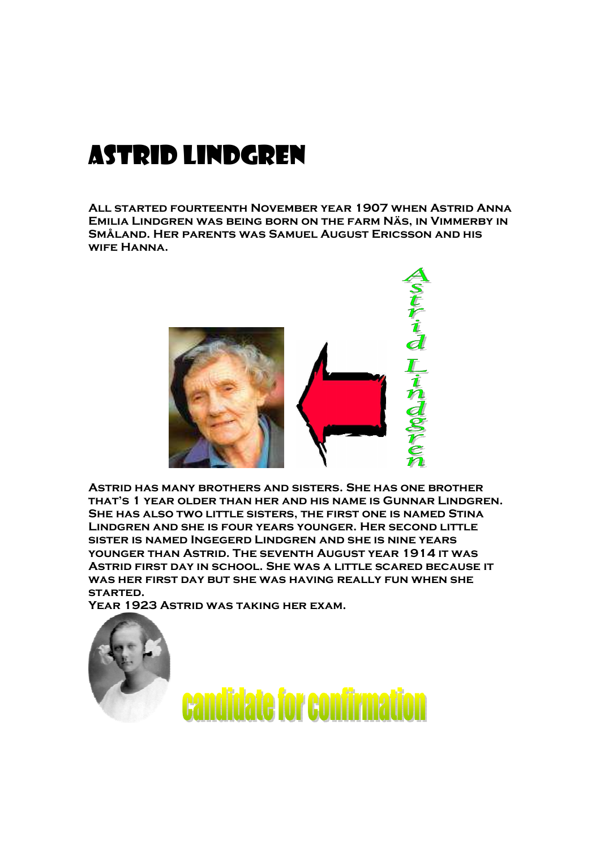## Astrid lindgren

**All started fourteenth November year 1907 when Astrid Anna Emilia Lindgren was being born on the farm Näs, in Vimmerby in Småland. Her parents was Samuel August Ericsson and his wife Hanna.** 



**Astrid has many brothers and sisters. She has one brother that's 1 year older than her and his name is Gunnar Lindgren. She has also two little sisters, the first one is named Stina Lindgren and she is four years younger. Her second little sister is named Ingegerd Lindgren and she is nine years younger than Astrid. The seventh August year 1914 it was Astrid first day in school. She was a little scared because it was her first day but she was having really fun when she started.** 

**Year 1923 Astrid was taking her exam.**

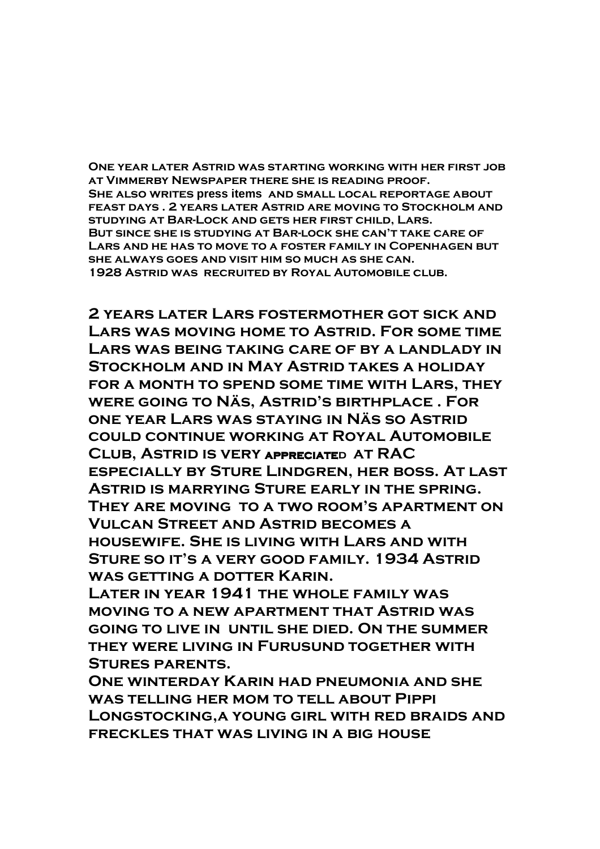**One year later Astrid was starting working with her first job at Vimmerby Newspaper there she is reading proof. She also writes press items and small local reportage about feast days . 2 years later Astrid are moving to Stockholm and studying at Bar-Lock and gets her first child, Lars. But since she is studying at Bar-lock she can't take care of Lars and he has to move to a foster family in Copenhagen but she always goes and visit him so much as she can. 1928 Astrid was recruited by Royal Automobile club.** 

**2 years later Lars fostermother got sick and Lars was moving home to Astrid. For some time Lars was being taking care of by a landlady in Stockholm and in May Astrid takes a holiday for a month to spend some time with Lars, they were going to Näs, Astrid's birthplace . For one year Lars was staying in Näs so Astrid could continue working at Royal Automobile Club, Astrid is very appreciated appreciate at RAC especially by Sture Lindgren, her boss. At last Astrid is marrying Sture early in the spring. They are moving to a two room's apartment on Vulcan Street and Astrid becomes a housewife. She is living with Lars and with Sture so it's a very good family. 1934 Astrid was getting a dotter Karin.** 

**Later in year 1941 the whole family was moving to a new apartment that Astrid was going to live in until she died. On the summer they were living in Furusund together with Stures parents.** 

**One winterday Karin had pneumonia and she was telling her mom to tell about Pippi Longstocking,a young girl with red braids and freckles that was living in a big house**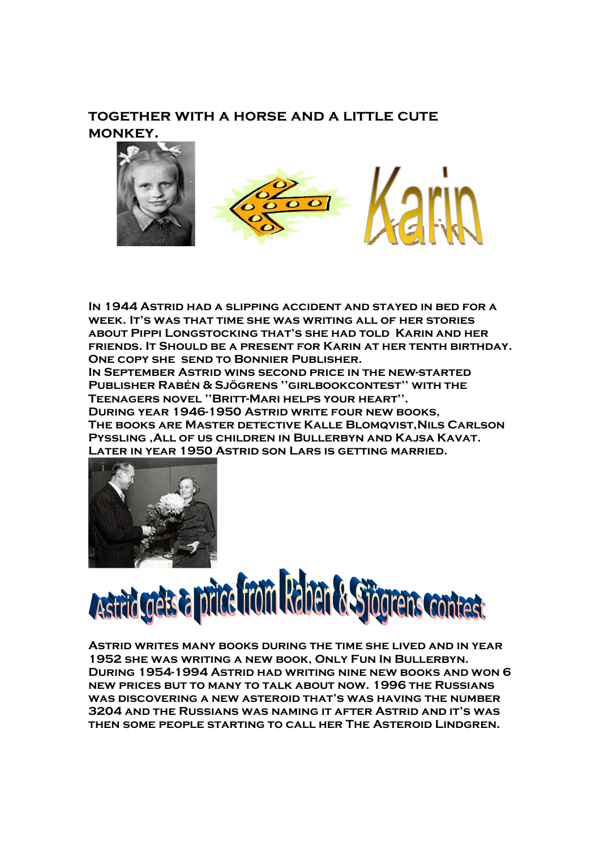## **together with a horse and a little cute monkey.**



**In 1944 Astrid had a slipping accident and stayed in bed for a week. It's was that time she was writing all of her stories about Pippi Longstocking that's she had told Karin and her friends. It Should be a present for Karin at her tenth birthday. One copy she send to Bonnier Publisher.** 

**In September Astrid wins second price in the new-started Publisher Rabén & Sjögrens ''girlbookcontest'' with the Teenagers novel ''Britt-Mari helps your heart''. During year 1946-1950 Astrid write four new books, The books are Master detective Kalle Blomqvist,Nils Carlson Pyssling ,All of us children in Bullerbyn and Kajsa Kavat.** 





## Astrid greis a prince from Raben & Stionens contrast

**Astrid writes many books during the time she lived and in year 1952 she was writing a new book, Only Fun In Bullerbyn. During 1954-1994 Astrid had writing nine new books and won 6 new prices but to many to talk about now. 1996 the Russians was discovering a new asteroid that's was having the number 3204 and the Russians was naming it after Astrid and it's was then some people starting to call her The Asteroid Lindgren.**